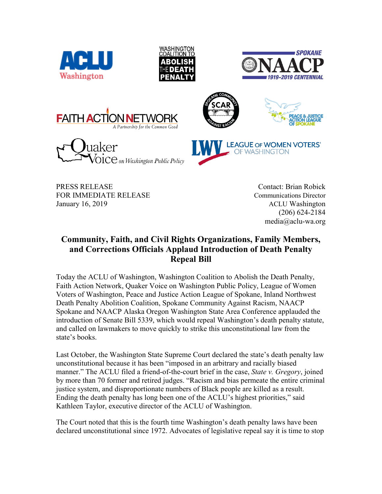













PRESS RELEASE Contact: Brian Robick FOR IMMEDIATE RELEASE Communications Director January 16, 2019 **ACLU** Washington

(206) 624-2184 media@aclu-wa.org

## **Community, Faith, and Civil Rights Organizations, Family Members, and Corrections Officials Applaud Introduction of Death Penalty Repeal Bill**

Today the ACLU of Washington, Washington Coalition to Abolish the Death Penalty, Faith Action Network, Quaker Voice on Washington Public Policy, League of Women Voters of Washington, Peace and Justice Action League of Spokane, Inland Northwest Death Penalty Abolition Coalition, Spokane Community Against Racism, NAACP Spokane and NAACP Alaska Oregon Washington State Area Conference applauded the introduction of Senate Bill 5339, which would repeal Washington's death penalty statute, and called on lawmakers to move quickly to strike this unconstitutional law from the state's books.

Last October, the Washington State Supreme Court declared the state's death penalty law unconstitutional because it has been "imposed in an arbitrary and racially biased manner." The ACLU filed a friend-of-the-court brief in the case, *State v. Gregory*, joined by more than 70 former and retired judges. "Racism and bias permeate the entire criminal justice system, and disproportionate numbers of Black people are killed as a result. Ending the death penalty has long been one of the ACLU's highest priorities," said Kathleen Taylor, executive director of the ACLU of Washington.

The Court noted that this is the fourth time Washington's death penalty laws have been declared unconstitutional since 1972. Advocates of legislative repeal say it is time to stop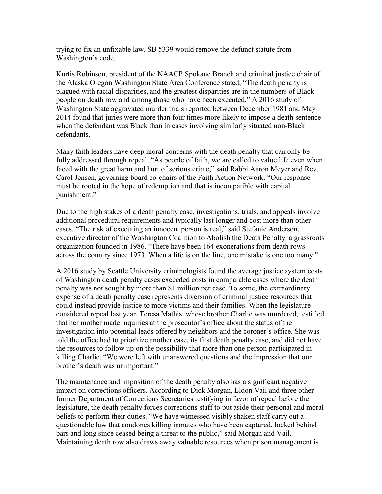trying to fix an unfixable law. SB 5339 would remove the defunct statute from Washington's code.

Kurtis Robinson, president of the NAACP Spokane Branch and criminal justice chair of the Alaska Oregon Washington State Area Conference stated, "The death penalty is plagued with racial disparities, and the greatest disparities are in the numbers of Black people on death row and among those who have been executed." A 2016 study of Washington State aggravated murder trials reported between December 1981 and May 2014 found that juries were more than four times more likely to impose a death sentence when the defendant was Black than in cases involving similarly situated non-Black defendants.

Many faith leaders have deep moral concerns with the death penalty that can only be fully addressed through repeal. "As people of faith, we are called to value life even when faced with the great harm and hurt of serious crime," said Rabbi Aaron Meyer and Rev. Carol Jensen, governing board co-chairs of the Faith Action Network. "Our response must be rooted in the hope of redemption and that is incompatible with capital punishment."

Due to the high stakes of a death penalty case, investigations, trials, and appeals involve additional procedural requirements and typically last longer and cost more than other cases. "The risk of executing an innocent person is real," said Stefanie Anderson, executive director of the Washington Coalition to Abolish the Death Penalty, a grassroots organization founded in 1986. "There have been 164 exonerations from death rows across the country since 1973. When a life is on the line, one mistake is one too many."

A 2016 study by Seattle University criminologists found the average justice system costs of Washington death penalty cases exceeded costs in comparable cases where the death penalty was not sought by more than \$1 million per case. To some, the extraordinary expense of a death penalty case represents diversion of criminal justice resources that could instead provide justice to more victims and their families. When the legislature considered repeal last year, Teresa Mathis, whose brother Charlie was murdered, testified that her mother made inquiries at the prosecutor's office about the status of the investigation into potential leads offered by neighbors and the coroner's office. She was told the office had to prioritize another case, its first death penalty case, and did not have the resources to follow up on the possibility that more than one person participated in killing Charlie. "We were left with unanswered questions and the impression that our brother's death was unimportant."

The maintenance and imposition of the death penalty also has a significant negative impact on corrections officers. According to Dick Morgan, Eldon Vail and three other former Department of Corrections Secretaries testifying in favor of repeal before the legislature, the death penalty forces corrections staff to put aside their personal and moral beliefs to perform their duties. "We have witnessed visibly shaken staff carry out a questionable law that condones killing inmates who have been captured, locked behind bars and long since ceased being a threat to the public," said Morgan and Vail. Maintaining death row also draws away valuable resources when prison management is